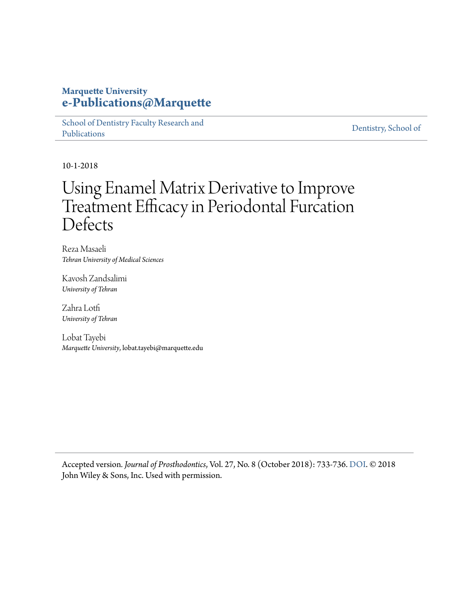### **Marquette University [e-Publications@Marquette](https://epublications.marquette.edu)**

[School of Dentistry Faculty Research and](https://epublications.marquette.edu/dentistry_fac) [Publications](https://epublications.marquette.edu/dentistry_fac)

[Dentistry, School of](https://epublications.marquette.edu/dentistry)

10-1-2018

# Using Enamel Matrix Derivative to Improve Treatment Efficacy in Periodontal Furcation Defects

Reza Masaeli *Tehran University of Medical Sciences*

Kavosh Zandsalimi *University of Tehran*

Zahra Lotfi *University of Tehran*

Lobat Tayebi *Marquette University*, lobat.tayebi@marquette.edu

Accepted version*. Journal of Prosthodontics*, Vol. 27, No. 8 (October 2018): 733-736. [DOI.](https://doi.org/10.1111/jopr.12753) © 2018 John Wiley & Sons, Inc. Used with permission.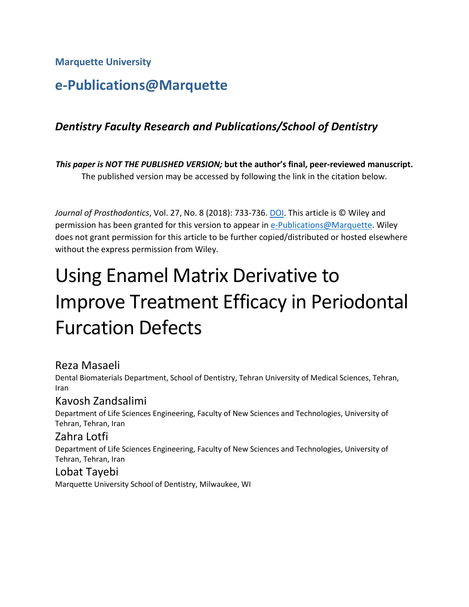**Marquette University** 

## **e-Publications@Marquette**

## *Dentistry Faculty Research and Publications/School of Dentistry*

*This paper is NOT THE PUBLISHED VERSION;* **but the author's final, peer-reviewed manuscript.**  The published version may be accessed by following the link in the citation below.

*Journal of Prosthodontics*, Vol. 27, No. 8 (2018): 733-736. [DOI.](https://doi.org/10.1111/jopr.12753) This article is © Wiley and permission has been granted for this version to appear in [e-Publications@Marquette.](http://epublications.marquette.edu/) Wiley does not grant permission for this article to be further copied/distributed or hosted elsewhere without the express permission from Wiley.

# Using Enamel Matrix Derivative to Improve Treatment Efficacy in Periodontal Furcation Defects

## Reza Masaeli

 Dental Biomaterials Department, School of Dentistry, Tehran University of Medical Sciences, Tehran, Iran

## Kavosh Zandsalimi

Department of Life Sciences Engineering, Faculty of New Sciences and Technologies, University of Tehran, Tehran, Iran

## Zahra Lotfi

Department of Life Sciences Engineering, Faculty of New Sciences and Technologies, University of Tehran, Tehran, Iran

#### Lobat Tayebi

Marquette University School of Dentistry, Milwaukee, WI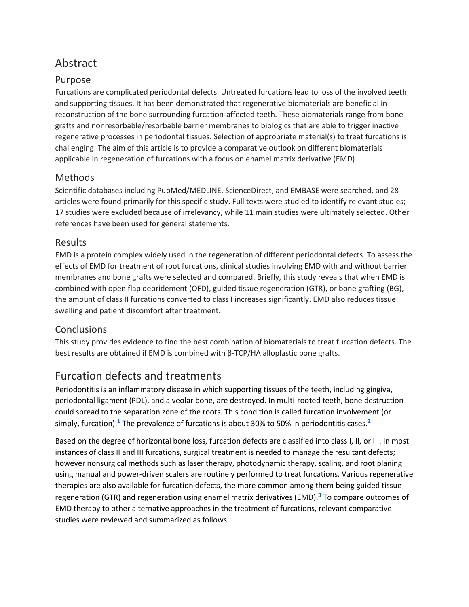## Abstract

#### Purpose

Furcations are complicated periodontal defects. Untreated furcations lead to loss of the involved teeth and supporting tissues. It has been demonstrated that regenerative biomaterials are beneficial in reconstruction of the bone surrounding furcation-affected teeth. These biomaterials range from bone grafts and nonresorbable/resorbable barrier membranes to biologics that are able to trigger inactive regenerative processes in periodontal tissues. Selection of appropriate material(s) to treat furcations is challenging. The aim of this article is to provide a comparative outlook on different biomaterials applicable in regeneration of furcations with a focus on enamel matrix derivative (EMD).

#### Methods

 Scientific databases including PubMed/MEDLINE, ScienceDirect, and EMBASE were searched, and 28 17 studies were excluded because of irrelevancy, while 11 main studies were ultimately selected. Other articles were found primarily for this specific study. Full texts were studied to identify relevant studies; references have been used for general statements.

#### Results

 the amount of class II furcations converted to class I increases significantly. EMD also reduces tissue EMD is a protein complex widely used in the regeneration of different periodontal defects. To assess the effects of EMD for treatment of root furcations, clinical studies involving EMD with and without barrier membranes and bone grafts were selected and compared. Briefly, this study reveals that when EMD is combined with open flap debridement (OFD), guided tissue regeneration (GTR), or bone grafting (BG), swelling and patient discomfort after treatment.

#### **Conclusions**

This study provides evidence to find the best combination of biomaterials to treat furcation defects. The best results are obtained if EMD is combined with β-TCP/HA alloplastic bone grafts.

## Furcation defects and treatments

 could spread to the separation zone of the roots. This condition is called furcation involvement (or simply, furcation).**[1](https://onlinelibrary.wiley.com/doi/full/10.1111/jopr.12753#jopr12753-bib-0001)** The prevalence of furcations is about 30% to 50% in periodontitis cases.**[2](https://onlinelibrary.wiley.com/doi/full/10.1111/jopr.12753#jopr12753-bib-0002)**  Periodontitis is an inflammatory disease in which supporting tissues of the teeth, including gingiva, periodontal ligament (PDL), and alveolar bone, are destroyed. In multi-rooted teeth, bone destruction

 Based on the degree of horizontal bone loss, furcation defects are classified into class I, II, or III. In most instances of class II and III furcations, surgical treatment is needed to manage the resultant defects; using manual and power-driven scalers are routinely performed to treat furcations. Various regenerative therapies are also available for furcation defects, the more common among them being guided tissue however nonsurgical methods such as laser therapy, photodynamic therapy, scaling, and root planing regeneration (GTR) and regeneration using enamel matrix derivatives (EMD).**[3](https://onlinelibrary.wiley.com/doi/full/10.1111/jopr.12753#jopr12753-bib-0003)** To compare outcomes of EMD therapy to other alternative approaches in the treatment of furcations, relevant comparative studies were reviewed and summarized as follows.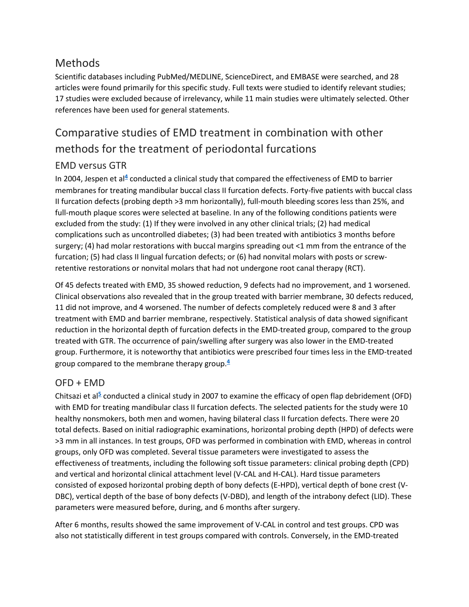## **Methods**

 Scientific databases including PubMed/MEDLINE, ScienceDirect, and EMBASE were searched, and 28 articles were found primarily for this specific study. Full texts were studied to identify relevant studies; 17 studies were excluded because of irrelevancy, while 11 main studies were ultimately selected. Other references have been used for general statements.

# Comparative studies of EMD treatment in combination with other methods for the treatment of periodontal furcations

#### EMD versus GTR

 II furcation defects (probing depth >3 mm horizontally), full-mouth bleeding scores less than 25%, and excluded from the study: (1) If they were involved in any other clinical trials; (2) had medical surgery; (4) had molar restorations with buccal margins spreading out <1 mm from the entrance of the In 2004, Jespen et al**[4](https://onlinelibrary.wiley.com/doi/full/10.1111/jopr.12753#jopr12753-bib-0004)** conducted a clinical study that compared the effectiveness of EMD to barrier membranes for treating mandibular buccal class II furcation defects. Forty-five patients with buccal class full-mouth plaque scores were selected at baseline. In any of the following conditions patients were complications such as uncontrolled diabetes; (3) had been treated with antibiotics 3 months before furcation; (5) had class II lingual furcation defects; or (6) had nonvital molars with posts or screwretentive restorations or nonvital molars that had not undergone root canal therapy (RCT).

 Of 45 defects treated with EMD, 35 showed reduction, 9 defects had no improvement, and 1 worsened. Clinical observations also revealed that in the group treated with barrier membrane, 30 defects reduced, 11 did not improve, and 4 worsened. The number of defects completely reduced were 8 and 3 after treated with GTR. The occurrence of pain/swelling after surgery was also lower in the EMD-treated group. Furthermore, it is noteworthy that antibiotics were prescribed four times less in the EMD-treated treatment with EMD and barrier membrane, respectively. Statistical analysis of data showed significant reduction in the horizontal depth of furcation defects in the EMD-treated group, compared to the group group compared to the membrane therapy group.**[4](https://onlinelibrary.wiley.com/doi/full/10.1111/jopr.12753#jopr12753-bib-0004)** 

#### OFD + EMD

 Chitsazi et al**[5](https://onlinelibrary.wiley.com/doi/full/10.1111/jopr.12753#jopr12753-bib-0005)** conducted a clinical study in 2007 to examine the efficacy of open flap debridement (OFD) healthy nonsmokers, both men and women, having bilateral class II furcation defects. There were 20 total defects. Based on initial radiographic examinations, horizontal probing depth (HPD) of defects were >3 mm in all instances. In test groups, OFD was performed in combination with EMD, whereas in control effectiveness of treatments, including the following soft tissue parameters: clinical probing depth (CPD) consisted of exposed horizontal probing depth of bony defects (E-HPD), vertical depth of bone crest (V- DBC), vertical depth of the base of bony defects (V-DBD), and length of the intrabony defect (LID). These parameters were measured before, during, and 6 months after surgery. with EMD for treating mandibular class II furcation defects. The selected patients for the study were 10 groups, only OFD was completed. Several tissue parameters were investigated to assess the and vertical and horizontal clinical attachment level (V-CAL and H-CAL). Hard tissue parameters

 After 6 months, results showed the same improvement of V-CAL in control and test groups. CPD was also not statistically different in test groups compared with controls. Conversely, in the EMD-treated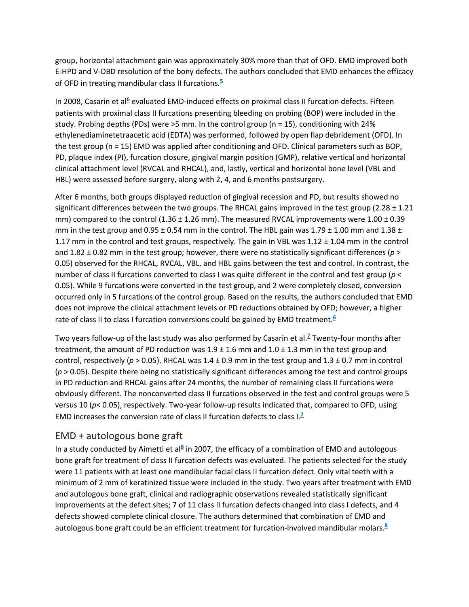group, horizontal attachment gain was approximately 30% more than that of OFD. EMD improved both E-HPD and V-DBD resolution of the bony defects. The authors concluded that EMD enhances the efficacy of OFD in treating mandibular class II furcations.**[5](https://onlinelibrary.wiley.com/doi/full/10.1111/jopr.12753#jopr12753-bib-0005)** 

 patients with proximal class II furcations presenting bleeding on probing (BOP) were included in the study. Probing depths (PDs) were >5 mm. In the control group (n = 15), conditioning with 24% HBL) were assessed before surgery, along with 2, 4, and 6 months postsurgery. In 2008, Casarin et al**[6](https://onlinelibrary.wiley.com/doi/full/10.1111/jopr.12753#jopr12753-bib-0006)** evaluated EMD-induced effects on proximal class II furcation defects. Fifteen ethylenediaminetetraacetic acid (EDTA) was performed, followed by open flap debridement (OFD). In the test group (n = 15) EMD was applied after conditioning and OFD. Clinical parameters such as BOP, PD, plaque index (PI), furcation closure, gingival margin position (GMP), relative vertical and horizontal clinical attachment level (RVCAL and RHCAL), and, lastly, vertical and horizontal bone level (VBL and

 After 6 months, both groups displayed reduction of gingival recession and PD, but results showed no significant differences between the two groups. The RHCAL gains improved in the test group (2.28 ± 1.21 mm in the test group and 0.95  $\pm$  0.54 mm in the control. The HBL gain was 1.79  $\pm$  1.00 mm and 1.38  $\pm$  1.17 mm in the control and test groups, respectively. The gain in VBL was 1.12 ± 1.04 mm in the control and 1.82 ± 0.82 mm in the test group; however, there were no statistically significant differences (*p* > 0.05). While 9 furcations were converted in the test group, and 2 were completely closed, conversion occurred only in 5 furcations of the control group. Based on the results, the authors concluded that EMD does not improve the clinical attachment levels or PD reductions obtained by OFD; however, a higher mm) compared to the control  $(1.36 \pm 1.26 \text{ mm})$ . The measured RVCAL improvements were  $1.00 \pm 0.39$ 0.05) observed for the RHCAL, RVCAL, VBL, and HBL gains between the test and control. In contrast, the number of class II furcations converted to class I was quite different in the control and test group (*p* < rate of class II to class I furcation conversions could be gained by EMD treatment.**[6](https://onlinelibrary.wiley.com/doi/full/10.1111/jopr.12753#jopr12753-bib-0006)** 

 Two years follow-up of the last study was also performed by Casarin et al.**[7](https://onlinelibrary.wiley.com/doi/full/10.1111/jopr.12753#jopr12753-bib-0007)** Twenty-four months after treatment, the amount of PD reduction was  $1.9 \pm 1.6$  mm and  $1.0 \pm 1.3$  mm in the test group and control, respectively (*p* > 0.05). RHCAL was 1.4 ± 0.9 mm in the test group and 1.3 ± 0.7 mm in control in PD reduction and RHCAL gains after 24 months, the number of remaining class II furcations were obviously different. The nonconverted class II furcations observed in the test and control groups were 5 (*p* > 0.05). Despite there being no statistically significant differences among the test and control groups versus 10 (*p*< 0.05), respectively. Two-year follow-up results indicated that, compared to OFD, using EMD increases the conversion rate of class II furcation defects to class I.**[7](https://onlinelibrary.wiley.com/doi/full/10.1111/jopr.12753#jopr12753-bib-0007)** 

#### EMD + autologous bone graft

 In a study conducted by Aimetti et al**[8](https://onlinelibrary.wiley.com/doi/full/10.1111/jopr.12753#jopr12753-bib-0008)** in 2007, the efficacy of a combination of EMD and autologous minimum of 2 mm of keratinized tissue were included in the study. Two years after treatment with EMD improvements at the defect sites; 7 of 11 class II furcation defects changed into class I defects, and 4 defects showed complete clinical closure. The authors determined that combination of EMD and bone graft for treatment of class II furcation defects was evaluated. The patients selected for the study were 11 patients with at least one mandibular facial class II furcation defect. Only vital teeth with a and autologous bone graft, clinical and radiographic observations revealed statistically significant autologous bone graft could be an efficient treatment for furcation-involved mandibular molars.**[8](https://onlinelibrary.wiley.com/doi/full/10.1111/jopr.12753#jopr12753-bib-0008)**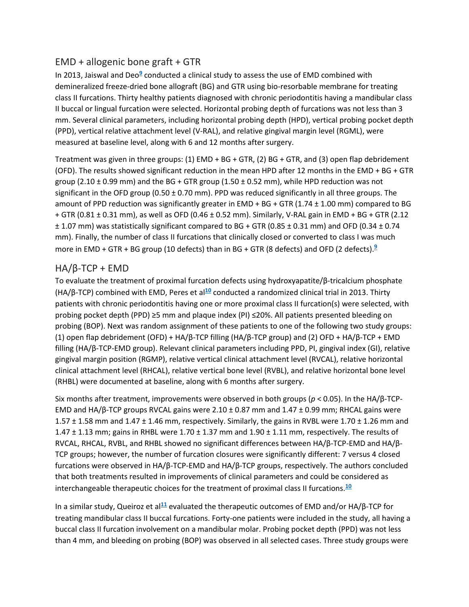#### EMD + allogenic bone graft + GTR

 demineralized freeze-dried bone allograft (BG) and GTR using bio-resorbable membrane for treating II buccal or lingual furcation were selected. Horizontal probing depth of furcations was not less than 3 In 2013, Jaiswal and Deo**[9](https://onlinelibrary.wiley.com/doi/full/10.1111/jopr.12753#jopr12753-bib-0009)** conducted a clinical study to assess the use of EMD combined with class II furcations. Thirty healthy patients diagnosed with chronic periodontitis having a mandibular class mm. Several clinical parameters, including horizontal probing depth (HPD), vertical probing pocket depth (PPD), vertical relative attachment level (V-RAL), and relative gingival margin level (RGML), were measured at baseline level, along with 6 and 12 months after surgery.

 Treatment was given in three groups: (1) EMD + BG + GTR, (2) BG + GTR, and (3) open flap debridement group (2.10  $\pm$  0.99 mm) and the BG + GTR group (1.50  $\pm$  0.52 mm), while HPD reduction was not significant in the OFD group (0.50 ± 0.70 mm). PPD was reduced significantly in all three groups. The amount of PPD reduction was significantly greater in EMD + BG + GTR (1.74 ± 1.00 mm) compared to BG mm). Finally, the number of class II furcations that clinically closed or converted to class I was much (OFD). The results showed significant reduction in the mean HPD after 12 months in the EMD + BG + GTR + GTR (0.81 ± 0.31 mm), as well as OFD (0.46 ± 0.52 mm). Similarly, V-RAL gain in EMD + BG + GTR (2.12 ± 1.07 mm) was statistically significant compared to BG + GTR (0.85 ± 0.31 mm) and OFD (0.34 ± 0.74 more in EMD + GTR + BG group (10 defects) than in BG + GTR (8 defects) and OFD (2 defects).**[9](https://onlinelibrary.wiley.com/doi/full/10.1111/jopr.12753#jopr12753-bib-0009)** 

#### HA/β‐TCP + EMD

 (HA/β‐TCP) combined with EMD, Peres et al**[10](https://onlinelibrary.wiley.com/doi/full/10.1111/jopr.12753#jopr12753-bib-0010)** conducted a randomized clinical trial in 2013. Thirty patients with chronic periodontitis having one or more proximal class II furcation(s) were selected, with probing (BOP). Next was random assignment of these patients to one of the following two study groups: (RHBL) were documented at baseline, along with 6 months after surgery. To evaluate the treatment of proximal furcation defects using hydroxyapatite/β‐tricalcium phosphate probing pocket depth (PPD) ≥5 mm and plaque index (PI) ≤20%. All patients presented bleeding on (1) open flap debridement (OFD) + HA/β‐TCP filling (HA/β‐TCP group) and (2) OFD + HA/β‐TCP + EMD filling (HA/β‐TCP‐EMD group). Relevant clinical parameters including PPD, PI, gingival index (GI), relative gingival margin position (RGMP), relative vertical clinical attachment level (RVCAL), relative horizontal clinical attachment level (RHCAL), relative vertical bone level (RVBL), and relative horizontal bone level

 EMD and HA/β‐TCP groups RVCAL gains were 2.10 ± 0.87 mm and 1.47 ± 0.99 mm; RHCAL gains were 1.57  $\pm$  1.58 mm and 1.47  $\pm$  1.46 mm, respectively. Similarly, the gains in RVBL were 1.70  $\pm$  1.26 mm and 1.47  $\pm$  1.13 mm; gains in RHBL were 1.70  $\pm$  1.37 mm and 1.90  $\pm$  1.11 mm, respectively. The results of TCP groups; however, the number of furcation closures were significantly different: 7 versus 4 closed Six months after treatment, improvements were observed in both groups (*p* < 0.05). In the HA/β‐TCP‐ RVCAL, RHCAL, RVBL, and RHBL showed no significant differences between HA/β‐TCP‐EMD and HA/β‐ furcations were observed in HA/β‐TCP‐EMD and HA/β‐TCP groups, respectively. The authors concluded that both treatments resulted in improvements of clinical parameters and could be considered as interchangeable therapeutic choices for the treatment of proximal class II furcations.**[10](https://onlinelibrary.wiley.com/doi/full/10.1111/jopr.12753#jopr12753-bib-0010)** 

 than 4 mm, and bleeding on probing (BOP) was observed in all selected cases. Three study groups were In a similar study, Queiroz et al**[11](https://onlinelibrary.wiley.com/doi/full/10.1111/jopr.12753#jopr12753-bib-0011)** evaluated the therapeutic outcomes of EMD and/or HA/β‐TCP for treating mandibular class II buccal furcations. Forty-one patients were included in the study, all having a buccal class II furcation involvement on a mandibular molar. Probing pocket depth (PPD) was not less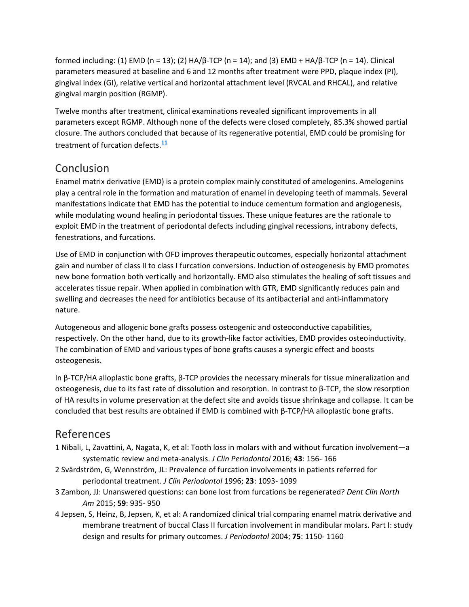parameters measured at baseline and 6 and 12 months after treatment were PPD, plaque index (PI), formed including: (1) EMD (n = 13); (2) HA/β-TCP (n = 14); and (3) EMD + HA/β-TCP (n = 14). Clinical gingival index (GI), relative vertical and horizontal attachment level (RVCAL and RHCAL), and relative gingival margin position (RGMP).

 closure. The authors concluded that because of its regenerative potential, EMD could be promising for - treatment of furcation defects.**[11](https://onlinelibrary.wiley.com/doi/full/10.1111/jopr.12753#jopr12753-bib-0011)**  Twelve months after treatment, clinical examinations revealed significant improvements in all parameters except RGMP. Although none of the defects were closed completely, 85.3% showed partial

## Conclusion

 Enamel matrix derivative (EMD) is a protein complex mainly constituted of amelogenins. Amelogenins play a central role in the formation and maturation of enamel in developing teeth of mammals. Several while modulating wound healing in periodontal tissues. These unique features are the rationale to exploit EMD in the treatment of periodontal defects including gingival recessions, intrabony defects, manifestations indicate that EMD has the potential to induce cementum formation and angiogenesis, fenestrations, and furcations.

 Use of EMD in conjunction with OFD improves therapeutic outcomes, especially horizontal attachment gain and number of class II to class I furcation conversions. Induction of osteogenesis by EMD promotes new bone formation both vertically and horizontally. EMD also stimulates the healing of soft tissues and accelerates tissue repair. When applied in combination with GTR, EMD significantly reduces pain and swelling and decreases the need for antibiotics because of its antibacterial and anti-inflammatory nature.

 Autogeneous and allogenic bone grafts possess osteogenic and osteoconductive capabilities, respectively. On the other hand, due to its growth-like factor activities, EMD provides osteoinductivity. The combination of EMD and various types of bone grafts causes a synergic effect and boosts osteogenesis.

In β‐TCP/HA alloplastic bone grafts, β‐TCP provides the necessary minerals for tissue mineralization and osteogenesis, due to its fast rate of dissolution and resorption. In contrast to β‐TCP, the slow resorption of HA results in volume preservation at the defect site and avoids tissue shrinkage and collapse. It can be concluded that best results are obtained if EMD is combined with β‐TCP/HA alloplastic bone grafts.

## References

- 1 Nibali, L, Zavattini, A, Nagata, K, et al: Tooth loss in molars with and without furcation involvement—a systematic review and meta-analysis. *J Clin Periodontol* 2016; **43**: 156- 166
- periodontal treatment. *J Clin Periodontol* 1996; **23**: 1093- 1099 2 Svärdström, G, Wennström, JL: Prevalence of furcation involvements in patients referred for
- 3 Zambon, JJ: Unanswered questions: can bone lost from furcations be regenerated? *Dent Clin North Am* 2015; **59**: 935- 950
- 4 Jepsen, S, Heinz, B, Jepsen, K, et al: A randomized clinical trial comparing enamel matrix derivative and membrane treatment of buccal Class II furcation involvement in mandibular molars. Part I: study design and results for primary outcomes. *J Periodontol* 2004; **75**: 1150- 1160